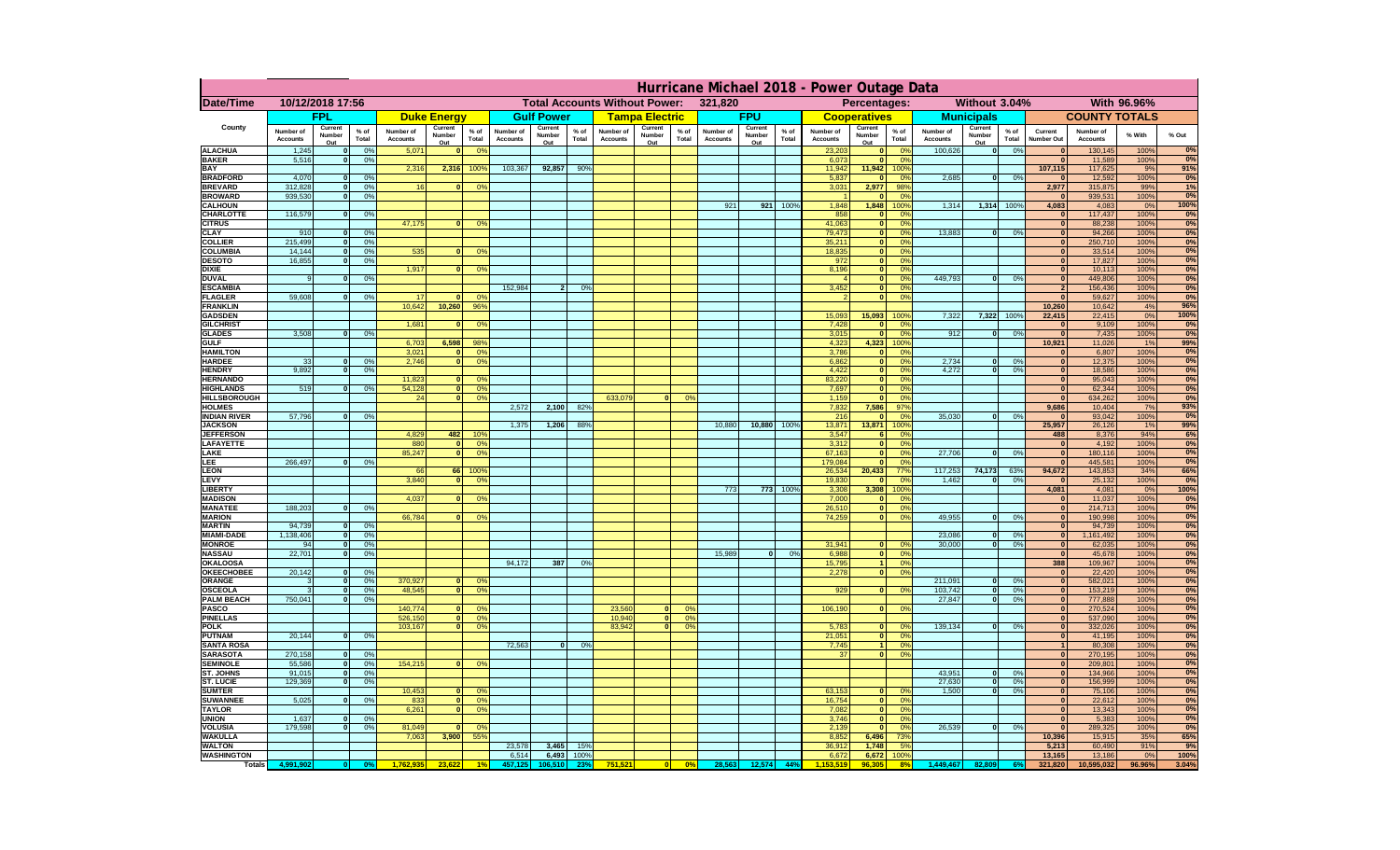|                                      | Hurricane Michael 2018 - Power Outage Data |                         |               |                              |                                                 |                       |                       |                   |                 |                                                     |                                      |                              |                   |                 |                              |                              |                |                                                   |                    |                                |                              |              |            |
|--------------------------------------|--------------------------------------------|-------------------------|---------------|------------------------------|-------------------------------------------------|-----------------------|-----------------------|-------------------|-----------------|-----------------------------------------------------|--------------------------------------|------------------------------|-------------------|-----------------|------------------------------|------------------------------|----------------|---------------------------------------------------|--------------------|--------------------------------|------------------------------|--------------|------------|
| Date/Time                            | 10/12/2018 17:56                           |                         |               |                              | <b>Total Accounts Without Power:</b><br>321,820 |                       |                       |                   |                 | Without 3.04%<br>With 96.96%<br><b>Percentages:</b> |                                      |                              |                   |                 |                              |                              |                |                                                   |                    |                                |                              |              |            |
|                                      |                                            | <b>FPL</b>              |               |                              | <b>Duke Energy</b>                              |                       |                       | <b>Gulf Power</b> |                 |                                                     | <b>Tampa Electric</b>                |                              | <b>FPU</b>        |                 |                              | <b>Cooperatives</b>          |                | <b>Municipals</b>                                 |                    |                                | <b>COUNTY TOTALS</b>         |              |            |
| County                               | Number of<br><b>Accounts</b>               | Current<br>Number       | % of<br>Total | Number of<br><b>Accounts</b> | Current<br>Number                               | $%$ of<br>Total       | Number of<br>Accounts | Current<br>Number | $%$ of<br>Total | Number of<br><b>Accounts</b>                        | Current<br>$%$ of<br>Number<br>Total | Number of<br><b>Accounts</b> | Current<br>Number | $%$ of<br>Total | Number of<br><b>Accounts</b> | Current<br>Number            | % of<br>Total  | Current<br>Number of<br>Number<br><b>Accounts</b> | $%$ of<br>Total    | Current<br>Number Out          | Number of<br><b>Accounts</b> | % With       | % Out      |
| <b>ALACHUA</b>                       | 1,245                                      | Out<br> 0               | 0%            | 5,071                        | Out<br>$\Omega$                                 | 0 <sup>9</sup>        |                       | Out               |                 |                                                     | Out                                  |                              | Out               |                 | 23,203                       | Out                          | 0 <sup>9</sup> | Out<br>100,626                                    | 0%<br> 0           |                                | 130,145                      | 100%         | 0%         |
| <b>BAKER</b>                         | 5,516                                      | 0                       | 0%            |                              |                                                 |                       |                       |                   |                 |                                                     |                                      |                              |                   |                 | 6,073                        |                              | 0%             |                                                   |                    | $\mathbf{0}$                   | 11,589                       | 100%         | 0%         |
| BAY<br><b>BRADFORD</b>               | 4,070                                      | 0                       | 0%            | 2,316                        | 2,316                                           | 100%                  | 103,367               | 92,857            | 90%             |                                                     |                                      |                              |                   |                 | 11,942<br>5,837              | 11,942                       | 100%<br>0%     | 2,685                                             | 0 <br>0%           | 107,115<br>$\mathbf{0}$        | 117,625<br>12,592            | 9%<br>100%   | 91%<br>0%  |
| <b>BREVARD</b>                       | 312,828                                    | 0                       | 0%            | 16                           |                                                 | 0%                    |                       |                   |                 |                                                     |                                      |                              |                   |                 | 3,031                        | 2,977                        | 98%            |                                                   |                    | 2,977                          | 315,875                      | 99%          | 1%         |
| <b>BROWARD</b>                       | 939,530                                    | 0                       | 0%            |                              |                                                 |                       |                       |                   |                 |                                                     |                                      |                              |                   |                 |                              |                              | 0 <sup>9</sup> |                                                   |                    | - 0                            | 939,531                      | 100%         | 0%         |
| <b>CALHOUN</b><br><b>CHARLOTTE</b>   | 116,579                                    | 0                       | 0%            |                              |                                                 |                       |                       |                   |                 |                                                     |                                      | 921                          | 921               | 100%            | 1,848<br>858                 | 1,848<br>$\mathbf{0}$        | 100%<br>0%     | 1,314                                             | 1,314 1009         | 4,083<br>$\mathbf{0}$          | 4,083<br>117,437             | 0%<br>100%   | 100%<br>0% |
| <b>CITRUS</b>                        |                                            |                         |               | 47,175                       | $\Omega$                                        | 0%                    |                       |                   |                 |                                                     |                                      |                              |                   |                 | 41,063                       | $\mathbf{0}$                 | 0%             |                                                   |                    | $\mathbf{0}$                   | 88,238                       | 100%         | 0%         |
| <b>CLAY</b>                          | 910                                        | 0                       | 0%            |                              |                                                 |                       |                       |                   |                 |                                                     |                                      |                              |                   |                 | 79,473                       | $\bullet$                    | 0%             | 13,883                                            | 0 <br>0%           | $\mathbf{0}$                   | 94,266                       | 100%         | 0%         |
| <b>COLLIER</b><br>COLUMBIA           | 215,499<br>14,144                          | 0 <br> 0                | 0%<br>0%      | 535                          | $\mathbf{0}$                                    | 0%                    |                       |                   |                 |                                                     |                                      |                              |                   |                 | 35,211<br>18,835             | $\mathbf{0}$<br>$\mathbf{0}$ | 0%<br>0%       |                                                   |                    | $\mathbf{0}$<br>$\mathbf{0}$   | 250,710<br>33,514            | 100%<br>100% | 0%<br>0%   |
| <b>DESOTO</b>                        | 16,855                                     | $\overline{0}$          | 0%            |                              |                                                 |                       |                       |                   |                 |                                                     |                                      |                              |                   |                 | 972                          | $\mathbf{0}$                 | 0%             |                                                   |                    | $\mathbf{0}$                   | 17,827                       | 100%         | 0%         |
| <b>DIXIE</b>                         |                                            |                         |               | 1,917                        | $\Omega$                                        | 0%                    |                       |                   |                 |                                                     |                                      |                              |                   |                 | 8,196                        | $\bullet$                    | 0%             |                                                   |                    | $\overline{\mathbf{0}}$        | 10,113                       | 100%         | 0%         |
| <b>DUVAL</b>                         | $\alpha$                                   | 0                       | 0%            |                              |                                                 |                       |                       |                   |                 |                                                     |                                      |                              |                   |                 | $\boldsymbol{\Lambda}$       | $\mathbf{0}$                 | 0%             | 449.793                                           | $\mathbf{0}$<br>0% | $\mathbf{0}$                   | 449,806                      | 100%         | 0%         |
| <b>ESCAMBIA</b><br><b>FLAGLER</b>    | 59,608                                     | $\overline{0}$          | 0%            | 17                           |                                                 | $\Omega$              | 152.984               | 2 <sup>1</sup>    | 0%              |                                                     |                                      |                              |                   |                 | 3,452<br>$\mathcal{P}$       | $\mathbf{0}$<br>$\bullet$    | 0%<br>0%       |                                                   |                    | $\overline{2}$<br>$\mathbf{0}$ | 156,436<br>59,627            | 100%<br>100% | 0%<br>0%   |
| <b>FRANKLIN</b>                      |                                            |                         |               | 10.642                       | 10,260                                          | 96 <sup>°</sup>       |                       |                   |                 |                                                     |                                      |                              |                   |                 |                              |                              |                |                                                   |                    | 10,260                         | 10,642                       | 4%           | 96%        |
| <b>GADSDEN</b>                       |                                            |                         |               |                              |                                                 |                       |                       |                   |                 |                                                     |                                      |                              |                   |                 | 15,093                       | 15,093                       | 100%           | 7,322                                             | 7,322 1009         | 22,415                         | 22,415                       | 0%           | 100%       |
| <b>GILCHRIST</b><br><b>GLADES</b>    | 3,508                                      | 0                       | 0%            | 1,681                        | $\mathbf{r}$                                    | 0%                    |                       |                   |                 |                                                     |                                      |                              |                   |                 | 7,428<br>3,015               | $\mathbf{0}$<br>$\mathbf{0}$ | 0%<br>0%       | 912                                               | 0 <br>0%           | $\mathbf{0}$<br>$\overline{0}$ | 9,109<br>7,435               | 100%<br>100% | 0%<br>0%   |
| <b>GULF</b>                          |                                            |                         |               | 6,703                        | 6,598                                           | 98%                   |                       |                   |                 |                                                     |                                      |                              |                   |                 | 4,323                        | 4,323                        | 100%           |                                                   |                    | 10,921                         | 11,026                       | 1%           | 99%        |
| <b>HAMILTON</b>                      |                                            |                         |               | 3,021                        | $\Omega$                                        | 0 <sup>o</sup>        |                       |                   |                 |                                                     |                                      |                              |                   |                 | 3,786                        | $\mathbf{0}$                 | 0%             |                                                   |                    | $\mathbf{0}$                   | 6,807                        | 100%         | 0%         |
| <b>HARDEE</b>                        | 33                                         | 0                       | 0%            | 2,746                        | $\Omega$                                        | 0%                    |                       |                   |                 |                                                     |                                      |                              |                   |                 | 6,862                        | $\mathbf{0}$                 | 0%             | 2,734                                             | 0 <br>0%           | $\mathbf{0}$<br>$\mathbf{0}$   | 12,375                       | 100%         | 0%<br>0%   |
| <b>HENDRY</b><br><b>HERNANDO</b>     | 9,892                                      | 0                       | 0%            | 11.823                       |                                                 | 0%                    |                       |                   |                 |                                                     |                                      |                              |                   |                 | 4,422<br>83.220              | $\mathbf{0}$<br>$\mathbf{0}$ | 0%<br>0%       | 4,272                                             | $\mathbf{0}$<br>0% | $\mathbf{0}$                   | 18,586<br>95.043             | 100%<br>100% | 0%         |
| <b>HIGHLANDS</b>                     | 519                                        | 0                       | 0%            | 54.128                       | $\mathbf{0}$                                    | 0%                    |                       |                   |                 |                                                     |                                      |                              |                   |                 | 7.697                        | $\mathbf{0}$                 | 0%             |                                                   |                    | $\mathbf{0}$                   | 62,344                       | 100%         | 0%         |
| <b>HILLSBOROUGH</b>                  |                                            |                         |               | 24                           | $\mathbf{0}$                                    | 0%                    |                       |                   |                 | 633,079                                             | $\Omega$<br>0%                       |                              |                   |                 | 1,159                        | $\mathbf{0}$                 | 0%             |                                                   |                    | $\mathbf{0}$                   | 634,262                      | 100%         | 0%         |
| <b>HOLMES</b><br><b>INDIAN RIVER</b> | 57.796                                     | 0                       | 0%            |                              |                                                 |                       | 2,572                 | 2,100             | 82%             |                                                     |                                      |                              |                   |                 | 7,832<br>216                 | 7,586<br>$\Omega$            | 97%<br>0%      | 35.030                                            | 0%<br> 0           | 9,686<br>$\mathbf{0}$          | 10,404<br>93.042             | 7%<br>100%   | 93%<br>0%  |
| <b>JACKSON</b>                       |                                            |                         |               |                              |                                                 |                       | 1,375                 | 1,206             | 88%             |                                                     |                                      | 10,880                       | 10,880            | 100%            | 13,871                       | 13,871                       | 100%           |                                                   |                    | 25,957                         | 26,126                       | 1%           | 99%        |
| <b>JEFFERSON</b>                     |                                            |                         |               | 4,829                        | 482                                             | 10%                   |                       |                   |                 |                                                     |                                      |                              |                   |                 | 3,547                        |                              | 0%             |                                                   |                    | 488                            | 8,376                        | 94%          | 6%         |
| LAFAYETTE<br>LAKE                    |                                            |                         |               | 880<br>85,247                | $\Omega$<br>$\Omega$                            | 0%<br>0%              |                       |                   |                 |                                                     |                                      |                              |                   |                 | 3,312<br>67,163              | $\mathbf{0}$                 | 0%<br>0%       | 27,706                                            | 0%<br>$\Omega$     | $\mathbf{0}$<br>$\mathbf{0}$   | 4,192<br>180,116             | 100%<br>100% | 0%<br>0%   |
| <b>LEE</b>                           | 266,497                                    | $\Omega$                | 0%            |                              |                                                 |                       |                       |                   |                 |                                                     |                                      |                              |                   |                 | 179,084                      |                              | 0%             |                                                   |                    | $\mathbf{0}$                   | 445,581                      | 100%         | 0%         |
| <b>LEON</b>                          |                                            |                         |               | 66                           | 66                                              | 100%                  |                       |                   |                 |                                                     |                                      |                              |                   |                 | 26,534                       | 20,433                       | 77%            | 117,253                                           | 74,173<br>63%      | 94,672                         | 143,853                      | 34%          | 66%        |
| LEVY                                 |                                            |                         |               | 3,840                        | $\Omega$                                        | 0%                    |                       |                   |                 |                                                     |                                      |                              |                   | 773 100%        | 19,830                       | $\mathbf{0}$                 | 0%             | 1,462                                             | 0%<br>$\Omega$     | $\mathbf{0}$                   | 25,132                       | 100%         | 0%<br>100% |
| <b>LIBERTY</b><br><b>MADISON</b>     |                                            |                         |               | 4,037                        | $\Omega$                                        | 0%                    |                       |                   |                 |                                                     |                                      | 773                          |                   |                 | 3,308<br>7,000               | 3,308<br>$\mathbf 0$         | 100%<br>0%     |                                                   |                    | 4,081<br>$\mathbf{0}$          | 4,081<br>11,037              | 0%<br>100%   | 0%         |
| <b>MANATEE</b>                       | 188,203                                    | 0                       | 0%            |                              |                                                 |                       |                       |                   |                 |                                                     |                                      |                              |                   |                 | 26,510                       | $\bullet$                    | 0%             |                                                   |                    | $\mathbf{0}$                   | 214,713                      | 100%         | 0%         |
| <b>MARION</b>                        |                                            |                         |               | 66,784                       | $\Omega$                                        | 0%                    |                       |                   |                 |                                                     |                                      |                              |                   |                 | 74,259                       | 0                            | 0%             | 49,955                                            | 0 <br>0%           | $\mathbf{0}$                   | 190,998                      | 100%         | 0%         |
| <b>MARTIN</b><br><b>MIAMI-DADE</b>   | 94,739<br>1,138,406                        | 0 <br> 0                | 0%<br>0%      |                              |                                                 |                       |                       |                   |                 |                                                     |                                      |                              |                   |                 |                              |                              |                | 23,086                                            | 0 <br>0%           | $\mathbf{0}$<br> 0             | 94,739<br>1,161,492          | 100%<br>100% | 0%<br>0%   |
| <b>MONROE</b>                        | 94                                         | $\overline{\mathbf{0}}$ | 0%            |                              |                                                 |                       |                       |                   |                 |                                                     |                                      |                              |                   |                 | 31,941                       | $\Omega$                     | 0%             | 30,000                                            | 0 <br>0%           | $\bullet$                      | 62,035                       | 100%         | 0%         |
| <b>NASSAU</b>                        | 22,701                                     | 0                       | 0%            |                              |                                                 |                       |                       |                   |                 |                                                     |                                      | 15,989                       | 0                 | 0%              | 6,988                        | 0                            | 0%             |                                                   |                    | $\mathbf{0}$                   | 45,678                       | 100%         | 0%         |
| OKALOOSA                             | 20,142                                     |                         |               |                              |                                                 |                       | 94,172                | 387               | 0%              |                                                     |                                      |                              |                   |                 | 15,795                       | $\mathbf{1}$                 | 0%<br>0%       |                                                   |                    | 388                            | 109,967                      | 100%         | 0%<br>0%   |
| <b>OKEECHOBEE</b><br>ORANGE          |                                            | 0 <br> 0                | 0%<br>0%      | 370,927                      | $\Omega$                                        | 0 <sup>o</sup>        |                       |                   |                 |                                                     |                                      |                              |                   |                 | 2,278                        | 0                            |                | 211,091                                           | 0%<br> 0           | $\bf{0}$<br>$\mathbf{0}$       | 22,420<br>582,021            | 100%<br>100% | 0%         |
| <b>OSCEOLA</b>                       |                                            | 0                       | 0%            | 48,545                       | $\mathbf{0}$                                    | 0 <sup>o</sup>        |                       |                   |                 |                                                     |                                      |                              |                   |                 | 929                          | $\Omega$                     | 0%             | 103,742                                           | 0 <br>0%           | $\mathbf{0}$                   | 153,219                      | 100%         | 0%         |
| <b>PALM BEACH</b>                    | 750,041                                    | 0                       | 0%            |                              |                                                 |                       |                       |                   |                 |                                                     | $\Omega$ <sup>o</sup>                |                              |                   |                 |                              |                              |                | 27,847                                            | 0 <br>0%           | $\mathbf{0}$                   | 777,888                      | 100%         | 0%         |
| PASCO<br><b>PINELLAS</b>             |                                            |                         |               | 140,774<br>526,150           | $\Omega$<br>$\mathbf{0}$                        | 0%<br>0 <sup>9</sup>  |                       |                   |                 | 23,560<br>10,940                                    | 0 <br>0 <sup>9</sup><br> 0           |                              |                   |                 | 106,190                      | 0                            | 0%             |                                                   |                    | $\bullet$<br>$\mathbf{0}$      | 270,524<br>537,090           | 100%<br>100% | 0%<br>0%   |
| <b>POLK</b>                          |                                            |                         |               | 103,167                      | $\mathbf{0}$                                    | 0%                    |                       |                   |                 | 83,942                                              | $\overline{0}$<br>0 <sup>o</sup>     |                              |                   |                 | 5,783                        | $\mathbf{0}$                 | 0%             | 139,134                                           | 0 <br>0%           | $\mathbf{0}$                   | 332,026                      | 100%         | 0%         |
| <b>PUTNAM</b>                        | 20,144                                     | 0                       | 0%            |                              |                                                 |                       |                       |                   |                 |                                                     |                                      |                              |                   |                 | 21,051                       | $\mathbf{0}$                 | 0%             |                                                   |                    | $\mathbf{0}$                   | 41,195                       | 100%         | 0%         |
| <b>SANTA ROSA</b><br><b>SARASOTA</b> | 270,158                                    | 0                       | 0%            |                              |                                                 |                       | 72,563                | $\mathbf{0}$      | 0%              |                                                     |                                      |                              |                   |                 | 7,745<br>37                  | $\blacktriangleleft$<br> 0   | 0%<br>0%       |                                                   |                    | $\overline{1}$<br>$\mathbf{0}$ | 80,308<br>270,195            | 100%<br>100% | 0%<br>0%   |
| <b>SEMINOLE</b>                      | 55.586                                     | 0                       | 0%            | 154,215                      | $\mathbf{0}$                                    | 0%                    |                       |                   |                 |                                                     |                                      |                              |                   |                 |                              |                              |                |                                                   |                    | $\mathbf{0}$                   | 209,801                      | 100%         | 0%         |
| <b>ST. JOHNS</b>                     | 91,015                                     | 0                       | 0%            |                              |                                                 |                       |                       |                   |                 |                                                     |                                      |                              |                   |                 |                              |                              |                | 43,951                                            | 0%<br> 0           | $\mathbf{0}$                   | 134,966                      | 100%         | 0%         |
| <b>ST. LUCIE</b>                     | 129,369                                    | 0                       | 0%            |                              |                                                 |                       |                       |                   |                 |                                                     |                                      |                              |                   |                 |                              |                              |                | 27,630                                            | 0 <br>0%           | $\overline{\mathbf{0}}$        | 156,999                      | 100%         | 0%<br>0%   |
| <b>SUMTER</b><br><b>SUWANNEE</b>     | 5,025                                      | 0                       | 0%            | 10,453<br>833                | $\mathbf{0}$<br>$\mathbf{0}$                    | 0 <sup>o</sup><br>0%  |                       |                   |                 |                                                     |                                      |                              |                   |                 | 63,153<br>16,754             | $\mathbf{0}$<br>$\mathbf{0}$ | 0%<br>0%       | 1.500                                             | $\mathbf{0}$<br>0% | $\mathbf{0}$<br>$\mathbf{0}$   | 75,106<br>22,612             | 100%<br>100% | 0%         |
| <b>TAYLOR</b>                        |                                            |                         |               | 6,261                        | $\mathbf{0}$                                    | 0%                    |                       |                   |                 |                                                     |                                      |                              |                   |                 | 7,082                        | $\mathbf{0}$                 | 0%             |                                                   |                    | $\mathbf{0}$                   | 13,343                       | 100%         | 0%         |
| <b>UNION</b>                         | 1,637                                      | 0                       | 0%            |                              |                                                 |                       |                       |                   |                 |                                                     |                                      |                              |                   |                 | 3,746                        | $\mathbf{0}$                 | 0%             |                                                   |                    | $\mathbf{0}$                   | 5,383                        | 100%         | 0%         |
| <b>VOLUSIA</b><br><b>WAKULLA</b>     | 179,598                                    | 0                       | 0%            | 81,049<br>7,063              | 3,900                                           | 0 <sup>o</sup><br>55% |                       |                   |                 |                                                     |                                      |                              |                   |                 | 2,139<br>8,852               | $\mathbf{0}$<br>6,496        | 0%<br>73%      | 26,539                                            | 0 <br>0%           | $\mathbf{0}$<br>10,396         | 289,325<br>15,915            | 100%<br>35%  | 0%<br>65%  |
| <b>WALTON</b>                        |                                            |                         |               |                              |                                                 |                       | 23,578                | 3,465             | 15%             |                                                     |                                      |                              |                   |                 | 36,912                       | 1,748                        | 5%             |                                                   |                    | 5,213                          | 60,490                       | 91%          | 9%         |
| <b>WASHINGTON</b>                    |                                            |                         |               |                              |                                                 |                       | 6,514                 | 6,493             | 100%            |                                                     |                                      |                              |                   |                 | 6,672                        | 6,672                        | 100%           |                                                   |                    | 13,165                         | 13,186                       | 0%           | 100%       |
| <b>Totals</b>                        | 4,991,902                                  | 0                       | 0%            | 1,762,935                    | 23,622                                          |                       | 457,125               | 106,510           | 23%             | 751,521                                             | $\bullet$                            | 28,563<br>0%                 | 12,574            | <b>44%</b>      | 1 153 519                    | 96.30                        | 8 <sup>o</sup> | 1,449,467                                         | 82,809<br>6%       | 321,820                        | 10,595,032                   | 96.96%       | 3.04%      |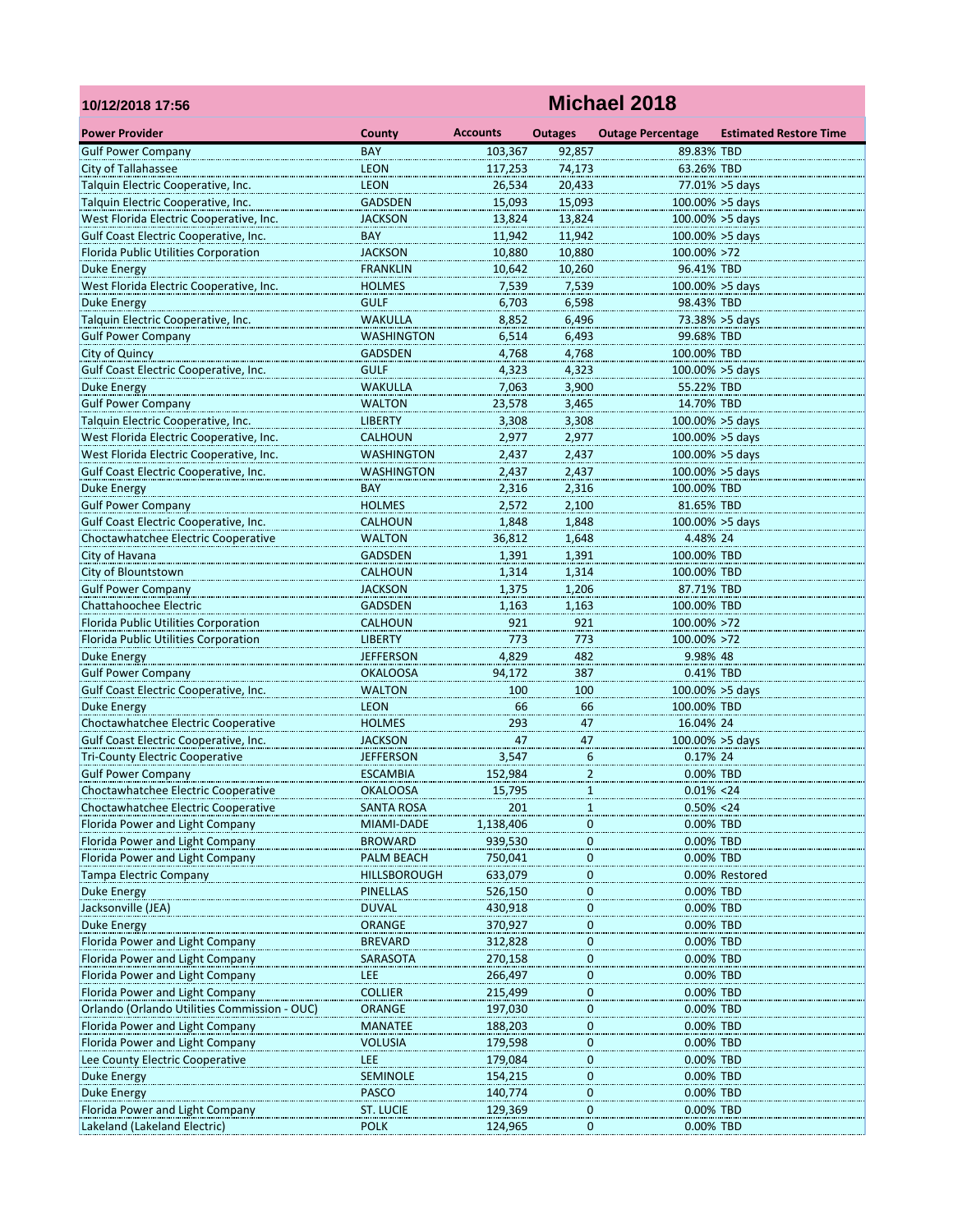| 10/12/2018 17:56                             |                   |                 |                  | Michael 2018             |                               |
|----------------------------------------------|-------------------|-----------------|------------------|--------------------------|-------------------------------|
| <b>Power Provider</b>                        | County            | <b>Accounts</b> | <b>Outages</b>   | <b>Outage Percentage</b> | <b>Estimated Restore Time</b> |
| <b>Gulf Power Company</b>                    | <b>BAY</b>        | 103,367         | 92,857           | 89.83% TBD               |                               |
| City of Tallahassee                          | <b>LEON</b>       | 117,253         | 74.173           | 63.26% TBD               |                               |
| Talquin Electric Cooperative, Inc.           | <b>LEON</b>       | 26,534          | 20,433           |                          | 77.01% > 5days                |
| Talquin Electric Cooperative, Inc.           | <b>GADSDEN</b>    | 15,093          | 15,093           |                          | 100.00% > 5days               |
| West Florida Electric Cooperative, Inc.      | <b>JACKSON</b>    | 13,824          | 13,824           | 100.00% > 5days          |                               |
| Gulf Coast Electric Cooperative, Inc.        | <b>BAY</b>        | 11,942          | 11,942           | 100.00% > 5days          |                               |
| Florida Public Utilities Corporation         | <b>JACKSON</b>    | 10,880          | 10,880           | 100.00% >72              |                               |
| Duke Energy                                  | <b>FRANKLIN</b>   | 10,642          | 10,260           | 96.41% TBD               |                               |
| West Florida Electric Cooperative, Inc.      | <b>HOLMES</b>     | 7,539           | 7,539            | $100.00\% > 5$ days      |                               |
| <b>Duke Energy</b>                           | <b>GULF</b>       | 6,703           | 6,598            | 98.43% TBD               |                               |
| Talquin Electric Cooperative, Inc.           | <b>WAKULLA</b>    | 8,852           | 6,496            |                          | 73.38% > 5 days               |
| <b>Gulf Power Company</b>                    | <b>WASHINGTON</b> | 6,514           | 6,493            | 99.68% TBD               |                               |
| City of Quincy                               | <b>GADSDEN</b>    | 4,768           | 4,768            | 100.00% TBD              |                               |
| Gulf Coast Electric Cooperative, Inc.        | <b>GULF</b>       | 4,323           | 4,323            | $100.00\% > 5$ days      |                               |
| <b>Duke Energy</b>                           | WAKULLA           | 7,063           | 3,900            | 55.22% TBD               |                               |
| <b>Gulf Power Company</b>                    | <b>WALTON</b>     | 23,578          | 3,465            | 14.70% TBD               |                               |
| Talquin Electric Cooperative, Inc.           | <b>LIBERTY</b>    | 3,308           | 3,308            | 100.00% > 5days          |                               |
| West Florida Electric Cooperative, Inc.      | <b>CALHOUN</b>    | 2,977           | 2,977            | $100.00\% > 5$ days      |                               |
| West Florida Electric Cooperative, Inc.      | <b>WASHINGTON</b> | 2,437           | 2,437            | $100.00\% > 5$ days      |                               |
| Gulf Coast Electric Cooperative, Inc.        | <b>WASHINGTON</b> | 2,437           | 2,437            | $100.00\% > 5$ days      |                               |
| Duke Energy                                  | BAY               | 2,316           | 2,316            | 100.00% TBD              |                               |
| <b>Gulf Power Company</b>                    | <b>HOLMES</b>     | 2,572           | 2,100            | 81.65% TBD               |                               |
| Gulf Coast Electric Cooperative, Inc.        | <b>CALHOUN</b>    | 1,848           | 1,848            | 100.00% >5 days          |                               |
| Choctawhatchee Electric Cooperative          | <b>WALTON</b>     | 36,812          | 1,648            | 4.48% 24                 |                               |
| City of Havana                               | <b>GADSDEN</b>    | 1,391           | 1,391            | 100.00% TBD              |                               |
| City of Blountstown                          | <b>CALHOUN</b>    | 1,314           | 1,314            | 100.00% TBD              |                               |
| <b>Gulf Power Company</b>                    | <b>JACKSON</b>    | 1,375           | 1,206            | 87.71% TBD               |                               |
| Chattahoochee Electric                       | <b>GADSDEN</b>    | 1,163           | 1,163            | 100.00% TBD              |                               |
| Florida Public Utilities Corporation         | <b>CALHOUN</b>    | 921             | 921              | 100.00% >72              |                               |
| Florida Public Utilities Corporation         | <b>LIBERTY</b>    | 773             | 773              | 100.00% >72              |                               |
| Duke Energy                                  | JEFFERSON         | 4,829           | 482              | 9.98% 48                 |                               |
| <b>Gulf Power Company</b>                    | <b>OKALOOSA</b>   | 94,172          | 387              | 0.41% TBD                |                               |
| Gulf Coast Electric Cooperative, Inc.        | <b>WALTON</b>     | 100             | 100              | 100.00% >5 days          |                               |
| <b>Duke Energy</b>                           | <b>LEON</b>       | 66              | 66               | 100.00% TBD              |                               |
| Choctawhatchee Electric Cooperative          | <b>HOLMES</b>     | 293             | 47               | 16.04% 24                |                               |
| Gulf Coast Electric Cooperative, Inc.        | JACKSON           | 47              | 47               | 100.00% > 5 days         |                               |
| <b>Tri-County Electric Cooperative</b>       | <b>JEFFERSON</b>  | 3,547           | $\boldsymbol{6}$ | 0.17% 24                 |                               |
| <b>Gulf Power Company</b>                    | <b>ESCAMBIA</b>   | 152,984         | $\overline{a}$   | 0.00% TBD                |                               |
| Choctawhatchee Electric Cooperative          | <b>OKALOOSA</b>   | 15,795          | $\mathbf{1}$     | $0.01\% < 24$            |                               |
| Choctawhatchee Electric Cooperative          | SANTA ROSA        | 201             | 1                | $0.50\% < 24$            |                               |
| Florida Power and Light Company              | MIAMI-DADE        | 1,138,406       | $\bf{0}$         | 0.00% TBD                |                               |
| Florida Power and Light Company              | <b>BROWARD</b>    | 939,530         | $\pmb{0}$        | 0.00% TBD                |                               |
| Florida Power and Light Company              | PALM BEACH        | 750,041         | $\pmb{0}$        | 0.00% TBD                |                               |
| <b>Tampa Electric Company</b>                | HILLSBOROUGH      | 633,079         | 0                |                          | 0.00% Restored                |
| <b>Duke Energy</b>                           | PINELLAS          | 526,150         | $\boldsymbol{0}$ | 0.00% TBD                |                               |
| Jacksonville (JEA)                           | <b>DUVAL</b>      | 430,918         | $\boldsymbol{0}$ | 0.00% TBD                |                               |
| Duke Energy                                  | <b>ORANGE</b>     | 370,927         | $\bf{0}$         | 0.00% TBD                |                               |
| Florida Power and Light Company              | <b>BREVARD</b>    | 312,828         | $\bf{0}$         | 0.00% TBD                |                               |
| Florida Power and Light Company              | SARASOTA          | 270,158         | 0                | 0.00% TBD                |                               |
| Florida Power and Light Company              | LEE               | 266,497         | 0                | 0.00% TBD                |                               |
| Florida Power and Light Company              | <b>COLLIER</b>    | 215,499         | $\boldsymbol{0}$ | 0.00% TBD                |                               |
| Orlando (Orlando Utilities Commission - OUC) | <b>ORANGE</b>     | 197,030         | $\boldsymbol{0}$ | 0.00% TBD                |                               |
| Florida Power and Light Company              | <b>MANATEE</b>    | 188,203         | $\bf{0}$         | 0.00% TBD                |                               |
| Florida Power and Light Company              | VOLUSIA           | 179,598         | $\mathbf 0$      | 0.00% TBD                |                               |
| Lee County Electric Cooperative              | LEE               | 179,084         | $\boldsymbol{0}$ | 0.00% TBD                |                               |
| Duke Energy                                  | <b>SEMINOLE</b>   | 154,215         | $\boldsymbol{0}$ | 0.00% TBD                |                               |
| Duke Energy                                  | <b>PASCO</b>      | 140,774         | $\bf{0}$         | 0.00% TBD                |                               |
| Florida Power and Light Company              | <b>ST. LUCIE</b>  | 129,369         | $\mathbf 0$      | 0.00% TBD                |                               |
| Lakeland (Lakeland Electric)                 | <b>POLK</b>       | 124,965         | 0                | 0.00% TBD                |                               |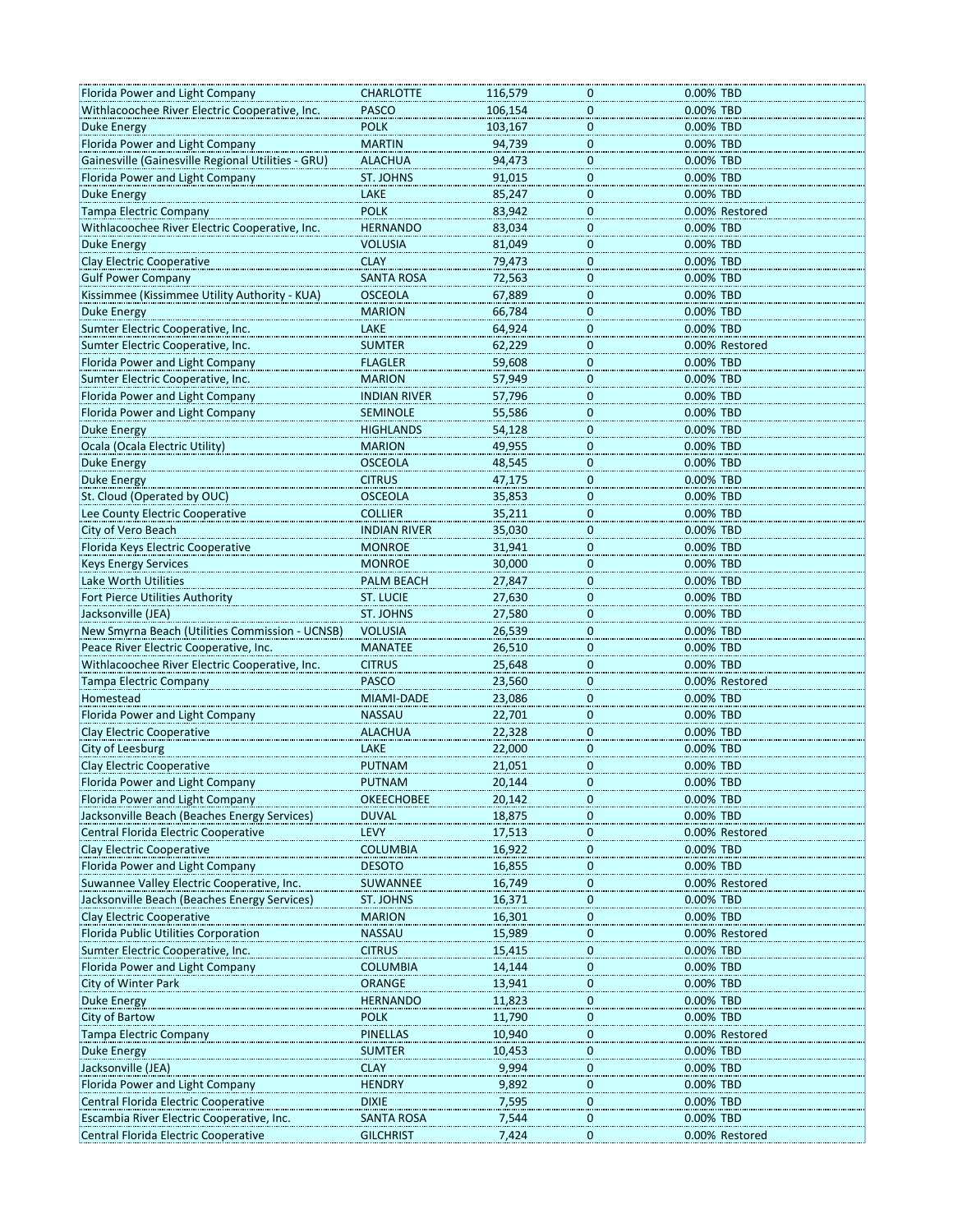| Florida Power and Light Company                                                                                            | <b>CHARLOTTE</b>    | 116,579 | 0                           | 0.00% TBD      |
|----------------------------------------------------------------------------------------------------------------------------|---------------------|---------|-----------------------------|----------------|
| Withlacoochee River Electric Cooperative, Inc.                                                                             | <b>PASCO</b>        | 106,154 | 0                           | 0.00% TBD      |
| <b>Duke Energy</b>                                                                                                         | <b>POLK</b>         | 103,167 | $\mathbf 0$                 | 0.00% TBD      |
| Florida Power and Light Company                                                                                            | <b>MARTIN</b>       | 94,739  | $\mathbf 0$                 | 0.00% TBD      |
| Gainesville (Gainesville Regional Utilities - GRU)                                                                         | <b>ALACHUA</b>      | 94,473  | $\pmb{0}$                   | 0.00% TBD      |
| Florida Power and Light Company                                                                                            | ST. JOHNS           | 91,015  | 0                           | 0.00% TBD      |
| Duke Energy                                                                                                                | LAKE                | 85,247  | 0                           | 0.00% TBD      |
| Tampa Electric Company                                                                                                     | <b>POLK</b>         | 83,942  | $\mathbf{0}$                | 0.00% Restored |
| Withlacoochee River Electric Cooperative, Inc.                                                                             | <b>HERNANDO</b>     | 83,034  | $\mathbf 0$                 | 0.00% TBD      |
| Duke Energy                                                                                                                | <b>VOLUSIA</b>      | 81,049  | $\pmb{0}$                   | 0.00% TBD      |
| <b>Clay Electric Cooperative</b>                                                                                           | <b>CLAY</b>         |         | 0                           | 0.00% TBD      |
|                                                                                                                            |                     | 79,473  |                             | 0.00% TBD      |
| <b>Gulf Power Company</b>                                                                                                  | <b>SANTA ROSA</b>   | 72,563  | 0                           |                |
| Kissimmee (Kissimmee Utility Authority - KUA)                                                                              | <b>OSCEOLA</b>      | 67,889  | 0                           | 0.00% TBD      |
| Duke Energy                                                                                                                | <b>MARION</b>       | 66,784  | $\mathbf 0$                 | 0.00% TBD      |
| Sumter Electric Cooperative, Inc.                                                                                          | LAKE                | 64,924  | $\mathbf 0$                 | 0.00% TBD      |
| Sumter Electric Cooperative, Inc.                                                                                          | <b>SUMTER</b>       | 62,229  | 0                           | 0.00% Restored |
| Florida Power and Light Company                                                                                            | <b>FLAGLER</b>      | 59,608  | 0                           | 0.00% TBD      |
| Sumter Electric Cooperative, Inc.                                                                                          | <b>MARION</b>       | 57,949  | $\mathbf 0$                 | 0.00% TBD      |
| Florida Power and Light Company                                                                                            | <b>INDIAN RIVER</b> | 57,796  | $\mathbf{0}$                | 0.00% TBD      |
| Florida Power and Light Company                                                                                            | <b>SEMINOLE</b>     | 55,586  | $\mathbf 0$                 | 0.00% TBD      |
| Duke Energy                                                                                                                | <b>HIGHLANDS</b>    | 54,128  | 0                           | 0.00% TBD      |
| Ocala (Ocala Electric Utility)                                                                                             | <b>MARION</b>       | 49,955  | $\overline{0}$              | 0.00% TBD      |
| <b>Duke Energy</b>                                                                                                         | <b>OSCEOLA</b>      | 48,545  | $\overline{\mathbf{0}}$     | 0.00% TBD      |
| Duke Energy                                                                                                                | <b>CITRUS</b>       | 47,175  | $\mathbf 0$                 | 0.00% TBD      |
| St. Cloud (Operated by OUC)                                                                                                | <b>OSCEOLA</b>      | 35,853  | $\mathbf 0$                 | 0.00% TBD      |
| Lee County Electric Cooperative                                                                                            | <b>COLLIER</b>      | 35,211  | 0                           | 0.00% TBD      |
| City of Vero Beach                                                                                                         | <b>INDIAN RIVER</b> | 35,030  | $\overline{0}$              | 0.00% TBD      |
| Florida Keys Electric Cooperative                                                                                          | <b>MONROE</b>       | 31,941  | $\mathbf 0$                 | 0.00% TBD      |
| <b>Keys Energy Services</b>                                                                                                | <b>MONROE</b>       | 30,000  | $\mathbf 0$                 | 0.00% TBD      |
| Lake Worth Utilities                                                                                                       | PALM BEACH          | 27,847  | $\mathbf 0$                 | 0.00% TBD      |
|                                                                                                                            |                     |         |                             |                |
| Fort Pierce Utilities Authority                                                                                            | ST. LUCIE           | 27,630  | 0                           | 0.00% TBD      |
| Jacksonville (JEA)                                                                                                         | ST. JOHNS           | 27,580  | $\overline{\mathbf{0}}$     | 0.00% TBD      |
| New Smyrna Beach (Utilities Commission - UCNSB)                                                                            | <b>VOLUSIA</b>      | 26,539  | $\overline{0}$              | 0.00% TBD      |
| Peace River Electric Cooperative, Inc.                                                                                     | <b>MANATEE</b>      | 26,510  | $\mathbf 0$                 | 0.00% TBD      |
| Withlacoochee River Electric Cooperative, Inc.                                                                             | <b>CITRUS</b>       | 25,648  | $\mathbf 0$                 | 0.00% TBD      |
| <b>Tampa Electric Company</b>                                                                                              | <b>PASCO</b>        | 23,560  | 0                           | 0.00% Restored |
| Homestead                                                                                                                  | <b>MIAMI-DADE</b>   | 23,086  | $\overline{0}$              | 0.00% TBD      |
| Florida Power and Light Company                                                                                            | <b>NASSAU</b>       | 22,701  | $\overline{\mathbf{0}}$     | 0.00% TBD      |
| <b>Clay Electric Cooperative</b>                                                                                           | <b>ALACHUA</b>      | 22,328  | $\mathbf{0}$                | 0.00% TBD      |
| City of Leesburg                                                                                                           | LAKE                | 22,000  | $\mathbf{0}$                | 0.00% TBD      |
| Clay Electric Cooperative                                                                                                  | <b>PUTNAM</b>       | 21,051  | 0                           | 0.00% TBD      |
| Florida Power and Light Company                                                                                            | PUTNAM              | 20,144  | o                           | 0.00% TBD      |
| Florida Power and Light Company                                                                                            | <b>OKEECHOBEE</b>   | 20,142  | $\overline{0}$              | 0.00% TBD      |
| Jacksonville Beach (Beaches Energy Services)                                                                               | <b>DUVAL</b>        | 18,875  | 0                           | 0.00% TBD      |
| Central Florida Electric Cooperative                                                                                       | LEVY                | 17,513  | 0                           | 0.00% Restored |
| Clay Electric Cooperative                                                                                                  | <b>COLUMBIA</b>     | 16,922  | 0                           | 0.00% TBD      |
| Florida Power and Light Company                                                                                            | <b>DESOTO</b>       | 16,855  |                             | 0.00% TBD      |
| Suwannee Valley Electric Cooperative, Inc.                                                                                 | SUWANNEE            | 16,749  | $\overline{0}$              | 0.00% Restored |
| Jacksonville Beach (Beaches Energy Services)                                                                               | ST. JOHNS           | 16,371  | $\overline{0}$<br>$\pmb{0}$ | 0.00% TBD      |
| Clay Electric Cooperative                                                                                                  | <b>MARION</b>       | 16,301  | 0                           | 0.00% TBD      |
|                                                                                                                            |                     |         |                             |                |
| Florida Public Utilities Corporation                                                                                       | <b>NASSAU</b>       | 15,989  | 0                           | 0.00% Restored |
| Sumter Electric Cooperative, Inc.                                                                                          | <b>CITRUS</b>       | 15,415  | $\overline{0}$              | 0.00% TBD      |
| Florida Power and Light Company                                                                                            | <b>COLUMBIA</b>     | 14,144  | $\overline{0}$              | 0.00% TBD      |
| City of Winter Park                                                                                                        | <b>ORANGE</b>       | 13,941  | $\pmb{0}$                   | 0.00% TBD      |
| Duke Energy                                                                                                                | <b>HERNANDO</b>     | 11,823  | 0                           | 0.00% TBD      |
|                                                                                                                            |                     |         |                             | 0.00% TBD      |
|                                                                                                                            | <b>POLK</b>         | 11,790  | $\overline{0}$              |                |
|                                                                                                                            | PINELLAS            | 10,940  | $\overline{0}$              | 0.00% Restored |
|                                                                                                                            | <b>SUMTER</b>       | 10,453  | 0                           | 0.00% TBD      |
|                                                                                                                            | <b>CLAY</b>         | 9,994   | $\pmb{0}$                   | 0.00% TBD      |
|                                                                                                                            | <b>HENDRY</b>       | 9,892   | 0                           | 0.00% TBD      |
| City of Bartow<br><b>Tampa Electric Company</b><br>Florida Power and Light Company<br>Central Florida Electric Cooperative | <b>DIXIE</b>        | 7,595   | 0                           | 0.00% TBD      |
| <b>Duke Energy</b><br>Jacksonville (JEA)<br>Escambia River Electric Cooperative, Inc.                                      | SANTA ROSA          | 7,544   | $\overline{0}$              | 0.00% TBD      |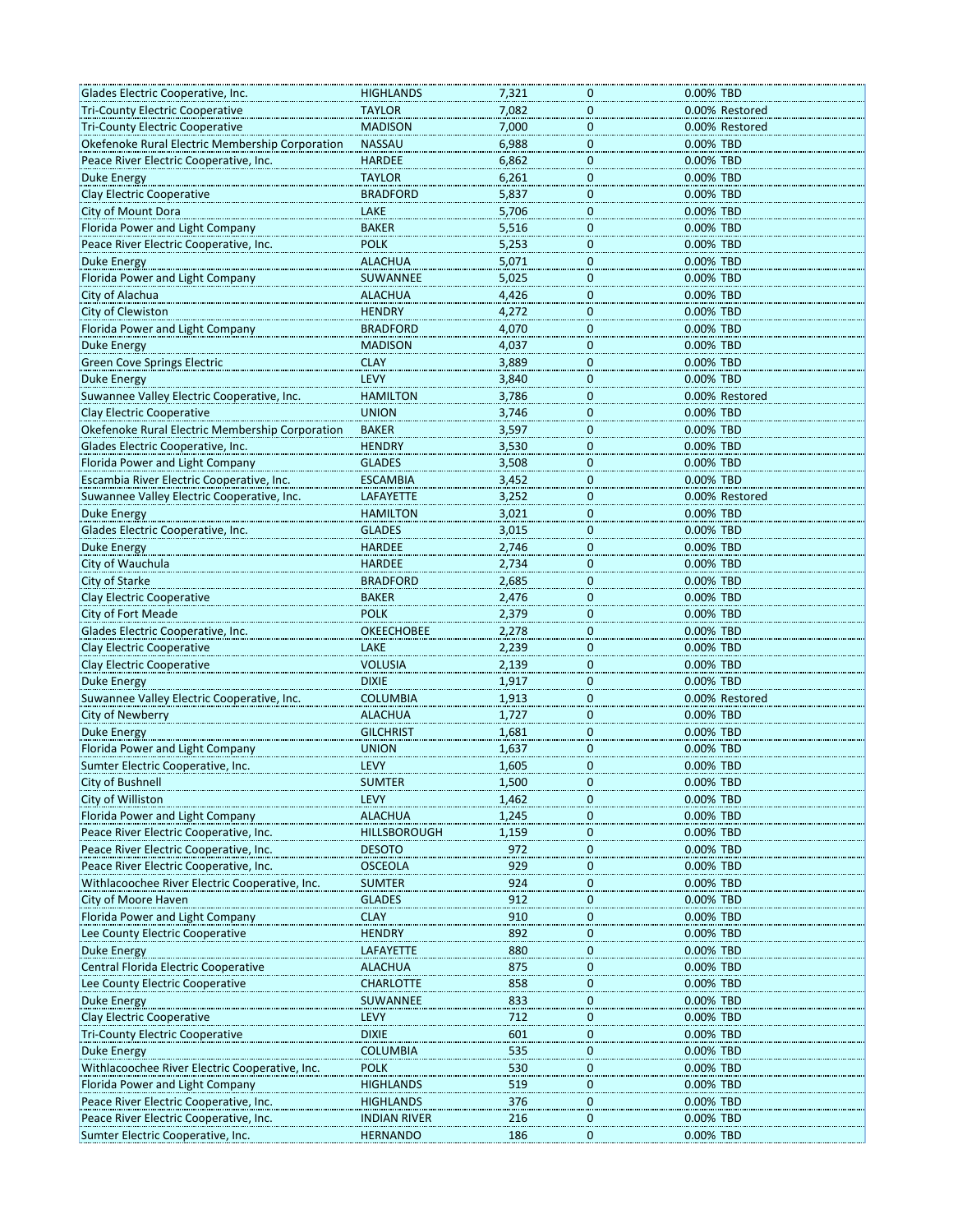| Glades Electric Cooperative, Inc.                                            | HIGHLANDS           | 7,321          | 0                              | 0.00% TBD      |
|------------------------------------------------------------------------------|---------------------|----------------|--------------------------------|----------------|
| <b>Tri-County Electric Cooperative</b>                                       | <b>TAYLOR</b>       | 7,082          | $\bf{0}$                       | 0.00% Restored |
| <b>Tri-County Electric Cooperative</b>                                       | <b>MADISON</b>      | 7,000          | $\mathbf{0}$                   | 0.00% Restored |
| Okefenoke Rural Electric Membership Corporation                              | <b>NASSAU</b>       | 6,988          | $\mathbf{0}$                   | 0.00% TBD      |
| Peace River Electric Cooperative, Inc.                                       | <b>HARDEE</b>       | 6,862          | $\overline{0}$                 | 0.00% TBD      |
| Duke Energy                                                                  | <b>TAYLOR</b>       | 6,261          | 0                              | 0.00% TBD      |
| Clay Electric Cooperative                                                    | <b>BRADFORD</b>     | 5,837          | $\overline{0}$                 | 0.00% TBD      |
| City of Mount Dora                                                           | LAKE                | 5,706          | $\mathbf{0}$                   | 0.00% TBD      |
| Florida Power and Light Company                                              | <b>BAKER</b>        | 5,516          | $\mathbf 0$                    | 0.00% TBD      |
| Peace River Electric Cooperative, Inc.                                       | <b>POLK</b>         | 5,253          | $\overline{0}$                 | 0.00% TBD      |
| Duke Energy                                                                  | ALACHUA             | 5,071          | $\mathbf 0$                    | 0.00% TBD      |
| Florida Power and Light Company                                              | SUWANNEE            | 5,025          | $\overline{0}$                 | 0.00% TBD      |
| City of Alachua                                                              | <b>ALACHUA</b>      | 4,426          | $\mathbf 0$                    | 0.00% TBD      |
| City of Clewiston                                                            | <b>HENDRY</b>       | 4,272          | $\mathbf 0$                    | 0.00% TBD      |
| Florida Power and Light Company                                              | <b>BRADFORD</b>     | 4,070          | $\overline{0}$                 | 0.00% TBD      |
| <b>Duke Energy</b>                                                           | <b>MADISON</b>      | 4,037          | $\bf{0}$                       | 0.00% TBD      |
| <b>Green Cove Springs Electric</b>                                           | <b>CLAY</b>         | 3,889          | $\overline{0}$                 | 0.00% TBD      |
| Duke Energy                                                                  | LEVY                | 3,840          | $\mathbf 0$                    | 0.00% TBD      |
| Suwannee Valley Electric Cooperative, Inc.                                   | <b>HAMILTON</b>     | 3,786          | $\mathbf 0$                    | 0.00% Restored |
| Clay Electric Cooperative                                                    | <b>UNION</b>        | 3,746          | $\overline{0}$                 | 0.00% TBD      |
| Okefenoke Rural Electric Membership Corporation                              | BAKER               | 3,597          | $\bf{0}$                       | 0.00% TBD      |
| Glades Electric Cooperative, Inc.                                            | <b>HENDRY</b>       | 3,530          |                                | 0.00% TBD      |
|                                                                              | <b>GLADES</b>       |                | $\bf{0}$                       | 0.00% TBD      |
| Florida Power and Light Company<br>Escambia River Electric Cooperative, Inc. | <b>ESCAMBIA</b>     | 3,508<br>3,452 | $\overline{0}$<br>$\mathbf{0}$ | 0.00% TBD      |
|                                                                              |                     |                |                                |                |
| Suwannee Valley Electric Cooperative, Inc.                                   | LAFAYETTE           | 3,252          | $\pmb{0}$                      | 0.00% Restored |
| <b>Duke Energy</b>                                                           | <b>HAMILTON</b>     | 3,021          | $\bf{0}$                       | 0.00% TBD      |
| Glades Electric Cooperative, Inc.                                            | <b>GLADES</b>       | 3,015          | $\boldsymbol{0}$               | 0.00% TBD      |
| <b>Duke Energy</b>                                                           | <b>HARDEE</b>       | 2,746          | $\mathbf 0$                    | 0.00% TBD      |
| City of Wauchula                                                             | <b>HARDEE</b>       | 2,734          | $\mathbf{0}$                   | 0.00% TBD      |
| City of Starke                                                               | <b>BRADFORD</b>     | 2,685          | $\bf{0}$                       | 0.00% TBD      |
| Clay Electric Cooperative                                                    | <b>BAKER</b>        | 2,476          | $\bf{0}$                       | 0.00% TBD      |
| City of Fort Meade                                                           | <b>POLK</b>         | 2,379          | $\overline{0}$                 | 0.00% TBD      |
| Glades Electric Cooperative, Inc.                                            | <b>OKEECHOBEE</b>   | 2,278          | $\overline{0}$                 | 0.00% TBD      |
| <b>Clay Electric Cooperative</b>                                             | <b>LAKE</b>         | 2,239          | $\mathbf{0}$                   | 0.00% TBD      |
| <b>Clay Electric Cooperative</b>                                             | <b>VOLUSIA</b>      | 2,139          | $\overline{0}$                 | 0.00% TBD      |
| <b>Duke Energy</b>                                                           | <b>DIXIE</b>        | 1,917          | $\bf{0}$                       | 0.00% TBD      |
| Suwannee Valley Electric Cooperative, Inc.                                   | <b>COLUMBIA</b>     | 1,913          | $\overline{0}$                 | 0.00% Restored |
| City of Newberry                                                             | <b>ALACHUA</b>      | 1,727          | $\overline{0}$                 | 0.00% TBD      |
| <b>Duke Energy</b>                                                           | <b>GILCHRIST</b>    | 1,681          | $\mathbf 0$                    | 0.00% TBD      |
| Florida Power and Light Company                                              | <b>UNION</b>        | 1,637          | $\bf{0}$                       | 0.00% TBD      |
| Sumter Electric Cooperative, Inc.                                            | LEVY                | 1,605          | 0                              | 0.00% TBD      |
| City of Bushnell                                                             | SUMTER              | 1,500          | U                              | 0.00% IBD      |
| City of Williston                                                            | LEVY                | 1,462          | $\overline{0}$                 | 0.00% TBD      |
| Florida Power and Light Company                                              | <b>ALACHUA</b>      | 1,245          | $\overline{0}$                 | 0.00% TBD      |
| Peace River Electric Cooperative, Inc.                                       | <b>HILLSBOROUGH</b> | 1,159          | $\bf{0}$                       | 0.00% TBD      |
| Peace River Electric Cooperative, Inc.                                       | <b>DESOTO</b>       | 972            | 0                              | 0.00% TBD      |
| Peace River Electric Cooperative, Inc.                                       | <b>OSCEOLA</b>      | 929            | $\bf{0}$                       | 0.00% TBD      |
| Withlacoochee River Electric Cooperative, Inc.                               | <b>SUMTER</b>       | 924            | $\overline{0}$                 | 0.00% TBD      |
| City of Moore Haven                                                          | <b>GLADES</b>       | 912            | $\bf{0}$                       | 0.00% TBD      |
| Florida Power and Light Company                                              | <b>CLAY</b>         | 910            | $\boldsymbol{0}$               | 0.00% TBD      |
| Lee County Electric Cooperative                                              | <b>HENDRY</b>       | 892            | $\mathbf 0$                    | 0.00% TBD      |
| Duke Energy                                                                  | LAFAYETTE           | 880            | $\boldsymbol{0}$               | 0.00% TBD      |
| Central Florida Electric Cooperative                                         | <b>ALACHUA</b>      | 875            | $\overline{0}$                 | 0.00% TBD      |
| Lee County Electric Cooperative                                              | <b>CHARLOTTE</b>    | 858            | $\overline{0}$                 | 0.00% TBD      |
| Duke Energy                                                                  | SUWANNEE            | 833            | $\boldsymbol{0}$               | 0.00% TBD      |
| Clay Electric Cooperative                                                    | LEVY                | 712            | $\boldsymbol{0}$               | 0.00% TBD      |
| <b>Tri-County Electric Cooperative</b>                                       | <b>DIXIE</b>        | 601            | $\mathbf 0$                    | 0.00% TBD      |
| <b>Duke Energy</b>                                                           | <b>COLUMBIA</b>     | 535            | $\bf{0}$                       | 0.00% TBD      |
| Withlacoochee River Electric Cooperative, Inc.                               | <b>POLK</b>         | 530            | $\bf{0}$                       | 0.00% TBD      |
| Florida Power and Light Company                                              | <b>HIGHLANDS</b>    | 519            | $\bf{0}$                       | 0.00% TBD      |
| Peace River Electric Cooperative, Inc.                                       | <b>HIGHLANDS</b>    | 376            | $\mathbf 0$                    | 0.00% TBD      |
| Peace River Electric Cooperative, Inc.                                       | <b>INDIAN RIVER</b> | 216            | $\overline{0}$                 | 0.00% TBD      |
| Sumter Electric Cooperative, Inc.                                            | <b>HERNANDO</b>     | 186            | $\mathbf 0$                    | 0.00% TBD      |